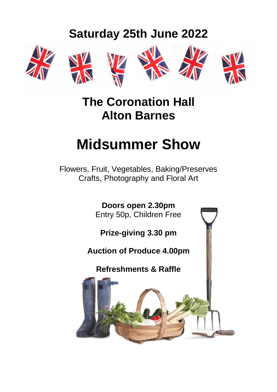## **Saturday 25th June 2022**











### **The Coronation Hall Alton Barnes**

## **Midsummer Show**

Flowers, Fruit, Vegetables, Baking/Preserves Crafts, Photography and Floral Art

> **Doors open 2.30pm** Entry 50p, Children Free

**Prize-giving 3.30 pm**

#### **Auction of Produce 4.00pm**

#### **Refreshments & Raffle**

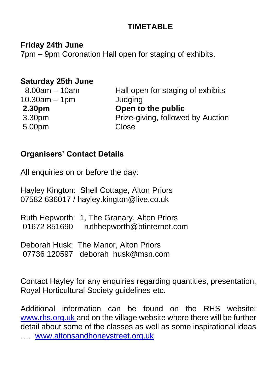#### **TIMETABLE**

**Friday 24th June**

7pm – 9pm Coronation Hall open for staging of exhibits.

#### **Saturday 25th June**

| $8.00$ am $-10$ am | Hall open for staging of exhibits |
|--------------------|-----------------------------------|
| $10.30$ am – 1pm   | Judging                           |
| 2.30 <sub>pm</sub> | Open to the public                |
| 3.30 <sub>pm</sub> | Prize-giving, followed by Auction |
| 5.00pm             | Close                             |

#### **Organisers' Contact Details**

All enquiries on or before the day:

Hayley Kington: Shell Cottage, Alton Priors 07582 636017 / hayley.kington@live.co.uk

| Ruth Hepworth: 1, The Granary, Alton Priors |
|---------------------------------------------|
| 01672 851690 ruthhepworth@btinternet.com    |
|                                             |

Deborah Husk: The Manor, Alton Priors 07736 120597 deborah husk@msn.com

Contact Hayley for any enquiries regarding quantities, presentation, Royal Horticultural Society guidelines etc.

Additional information can be found on the RHS website: [www.rhs.org.uk](http://www.rhs.org.uk/) and on the village website where there will be further detail about some of the classes as well as some inspirational ideas …. [www.altonsandhoneystreet.org.uk](http://www.altonsandhoneystreet.org.uk/)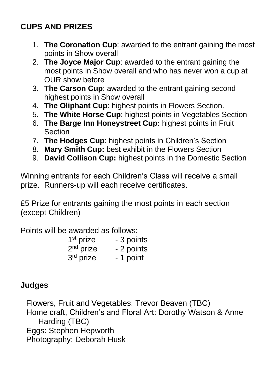#### **CUPS AND PRIZES**

- 1. **The Coronation Cup**: awarded to the entrant gaining the most points in Show overall
- 2. **The Joyce Major Cup**: awarded to the entrant gaining the most points in Show overall and who has never won a cup at OUR show before
- 3. **The Carson Cup**: awarded to the entrant gaining second highest points in Show overall
- 4. **The Oliphant Cup**: highest points in Flowers Section.
- 5. **The White Horse Cup**: highest points in Vegetables Section
- 6. **The Barge Inn Honeystreet Cup:** highest points in Fruit **Section**
- 7. **The Hodges Cup**: highest points in Children's Section
- 8. **Mary Smith Cup:** best exhibit in the Flowers Section
- 9. **David Collison Cup:** highest points in the Domestic Section

Winning entrants for each Children's Class will receive a small prize. Runners-up will each receive certificates.

£5 Prize for entrants gaining the most points in each section (except Children)

Points will be awarded as follows:

| 1 <sup>st</sup> prize | - 3 points |
|-----------------------|------------|
| $2nd$ prize           | - 2 points |
| 3rd prize             | - 1 point  |

#### **Judges**

Flowers, Fruit and Vegetables: Trevor Beaven (TBC) Home craft, Children's and Floral Art: Dorothy Watson & Anne Harding (TBC) Eggs: Stephen Hepworth Photography: Deborah Husk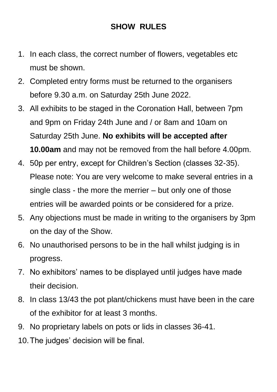#### **SHOW RULES**

- 1. In each class, the correct number of flowers, vegetables etc must be shown.
- 2. Completed entry forms must be returned to the organisers before 9.30 a.m. on Saturday 25th June 2022.
- 3. All exhibits to be staged in the Coronation Hall, between 7pm and 9pm on Friday 24th June and / or 8am and 10am on Saturday 25th June. **No exhibits will be accepted after 10.00am** and may not be removed from the hall before 4.00pm.
- 4. 50p per entry, except for Children's Section (classes 32-35). Please note: You are very welcome to make several entries in a single class - the more the merrier – but only one of those entries will be awarded points or be considered for a prize.
- 5. Any objections must be made in writing to the organisers by 3pm on the day of the Show.
- 6. No unauthorised persons to be in the hall whilst judging is in progress.
- 7. No exhibitors' names to be displayed until judges have made their decision.
- 8. In class 13/43 the pot plant/chickens must have been in the care of the exhibitor for at least 3 months.
- 9. No proprietary labels on pots or lids in classes 36-41.
- 10.The judges' decision will be final.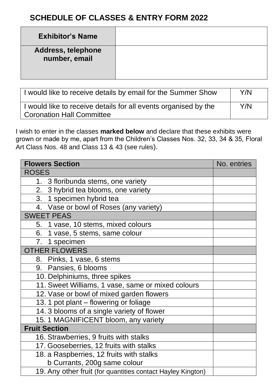#### **SCHEDULE OF CLASSES & ENTRY FORM 2022**

| <b>Exhibitor's Name</b>             |  |
|-------------------------------------|--|
| Address, telephone<br>number, email |  |

| I would like to receive details by email for the Summer Show                                        | Y/N |
|-----------------------------------------------------------------------------------------------------|-----|
| I would like to receive details for all events organised by the<br><b>Coronation Hall Committee</b> |     |

I wish to enter in the classes **marked below** and declare that these exhibits were grown or made by me, apart from the Children's Classes Nos. 32, 33, 34 & 35, Floral Art Class Nos. 48 and Class 13 & 43 (see rules).

| <b>Flowers Section</b>                                      | No. entries |
|-------------------------------------------------------------|-------------|
| <b>ROSES</b>                                                |             |
| 1. 3 floribunda stems, one variety                          |             |
| 2. 3 hybrid tea blooms, one variety                         |             |
| 3. 1 specimen hybrid tea                                    |             |
| 4. Vase or bowl of Roses (any variety)                      |             |
| <b>SWEET PEAS</b>                                           |             |
| 5. 1 vase, 10 stems, mixed colours                          |             |
| 6. 1 vase, 5 stems, same colour                             |             |
| 7. 1 specimen                                               |             |
| <b>OTHER FLOWERS</b>                                        |             |
| 8. Pinks, 1 vase, 6 stems                                   |             |
| 9. Pansies, 6 blooms                                        |             |
| 10. Delphiniums, three spikes                               |             |
| 11. Sweet Williams, 1 vase, same or mixed colours           |             |
| 12. Vase or bowl of mixed garden flowers                    |             |
| 13. 1 pot plant - flowering or foliage                      |             |
| 14. 3 blooms of a single variety of flower                  |             |
| 15.1 MAGNIFICENT bloom, any variety                         |             |
| <b>Fruit Section</b>                                        |             |
| 16. Strawberries, 9 fruits with stalks                      |             |
| 17. Gooseberries, 12 fruits with stalks                     |             |
| 18. a Raspberries, 12 fruits with stalks                    |             |
| b Currants, 200g same colour                                |             |
| 19. Any other fruit (for quantities contact Hayley Kington) |             |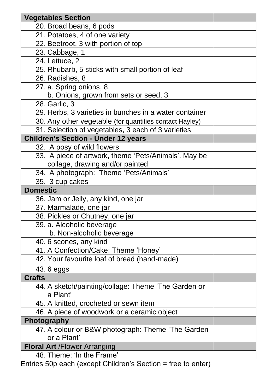| <b>Vegetables Section</b>                                    |  |
|--------------------------------------------------------------|--|
| 20. Broad beans, 6 pods                                      |  |
| 21. Potatoes, 4 of one variety                               |  |
| 22. Beetroot, 3 with portion of top                          |  |
| 23. Cabbage, 1                                               |  |
| 24. Lettuce, 2                                               |  |
| 25. Rhubarb, 5 sticks with small portion of leaf             |  |
| 26. Radishes, 8                                              |  |
| 27. a. Spring onions, 8.                                     |  |
| b. Onions, grown from sets or seed, 3                        |  |
| 28. Garlic, 3                                                |  |
| 29. Herbs, 3 varieties in bunches in a water container       |  |
| 30. Any other vegetable (for quantities contact Hayley)      |  |
| 31. Selection of vegetables, 3 each of 3 varieties           |  |
| <b>Children's Section - Under 12 years</b>                   |  |
| 32. A posy of wild flowers                                   |  |
| 33. A piece of artwork, theme 'Pets/Animals'. May be         |  |
| collage, drawing and/or painted                              |  |
| 34. A photograph: Theme 'Pets/Animals'                       |  |
| 35. 3 cup cakes                                              |  |
| <b>Domestic</b>                                              |  |
| 36. Jam or Jelly, any kind, one jar                          |  |
| 37. Marmalade, one jar                                       |  |
| 38. Pickles or Chutney, one jar                              |  |
| 39. a. Alcoholic beverage                                    |  |
| b. Non-alcoholic beverage                                    |  |
| 40.6 scones, any kind                                        |  |
| 41. A Confection/Cake: Theme 'Honey'                         |  |
| 42. Your favourite loaf of bread (hand-made)                 |  |
| 43.6 eggs                                                    |  |
| <b>Crafts</b>                                                |  |
| 44. A sketch/painting/collage: Theme 'The Garden or          |  |
| a Plant'                                                     |  |
| 45. A knitted, crocheted or sewn item                        |  |
| 46. A piece of woodwork or a ceramic object                  |  |
| Photography                                                  |  |
| 47. A colour or B&W photograph: Theme 'The Garden            |  |
| or a Plant'                                                  |  |
| <b>Floral Art / Flower Arranging</b>                         |  |
| 48. Theme: 'In the Frame'                                    |  |
| Entries 50p each (except Children's Section = free to enter) |  |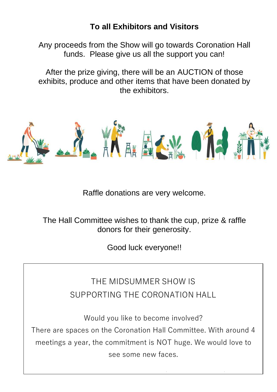#### **To all Exhibitors and Visitors**

Any proceeds from the Show will go towards Coronation Hall funds. Please give us all the support you can!

After the prize giving, there will be an AUCTION of those exhibits, produce and other items that have been donated by the exhibitors.



Raffle donations are very welcome.

The Hall Committee wishes to thank the cup, prize & raffle donors for their generosity.

Good luck everyone!!

THE MIDSUMMER SHOW IS SUPPORTING THE CORONATION HALL

Would you like to become involved? There are spaces on the Coronation Hall Committee. With around 4 meetings a year, the commitment is NOT huge. We would love to see some new faces.

Please contact Ruth Hepworth (details on page 2)